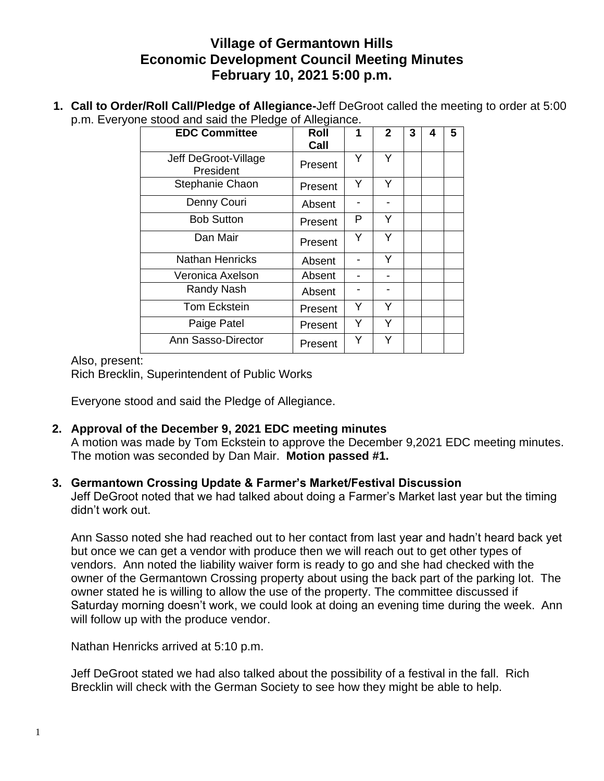# **Village of Germantown Hills Economic Development Council Meeting Minutes February 10, 2021 5:00 p.m.**

**1. Call to Order/Roll Call/Pledge of Allegiance-**Jeff DeGroot called the meeting to order at 5:00 p.m. Everyone stood and said the Pledge of Allegiance.

| <b>EDC Committee</b>              | Roll    | 1 | $\mathbf{2}$ | 3 | 4 | 5 |
|-----------------------------------|---------|---|--------------|---|---|---|
|                                   | Call    |   |              |   |   |   |
| Jeff DeGroot-Village<br>President | Present | Y | Υ            |   |   |   |
| Stephanie Chaon                   | Present | Y | Y            |   |   |   |
| Denny Couri                       | Absent  |   |              |   |   |   |
| <b>Bob Sutton</b>                 | Present | P | Y            |   |   |   |
| Dan Mair                          | Present | Y | Υ            |   |   |   |
| <b>Nathan Henricks</b>            | Absent  |   | Y            |   |   |   |
| Veronica Axelson                  | Absent  |   |              |   |   |   |
| Randy Nash                        | Absent  |   |              |   |   |   |
| <b>Tom Eckstein</b>               | Present | Y | Y            |   |   |   |
| Paige Patel                       | Present | Y | Υ            |   |   |   |
| Ann Sasso-Director                | Present | Υ | Y            |   |   |   |

### Also, present:

Rich Brecklin, Superintendent of Public Works

Everyone stood and said the Pledge of Allegiance.

## **2. Approval of the December 9, 2021 EDC meeting minutes**

A motion was made by Tom Eckstein to approve the December 9,2021 EDC meeting minutes. The motion was seconded by Dan Mair. **Motion passed #1.**

### **3. Germantown Crossing Update & Farmer's Market/Festival Discussion**

Jeff DeGroot noted that we had talked about doing a Farmer's Market last year but the timing didn't work out.

Ann Sasso noted she had reached out to her contact from last year and hadn't heard back yet but once we can get a vendor with produce then we will reach out to get other types of vendors. Ann noted the liability waiver form is ready to go and she had checked with the owner of the Germantown Crossing property about using the back part of the parking lot. The owner stated he is willing to allow the use of the property. The committee discussed if Saturday morning doesn't work, we could look at doing an evening time during the week. Ann will follow up with the produce vendor.

Nathan Henricks arrived at 5:10 p.m.

Jeff DeGroot stated we had also talked about the possibility of a festival in the fall. Rich Brecklin will check with the German Society to see how they might be able to help.